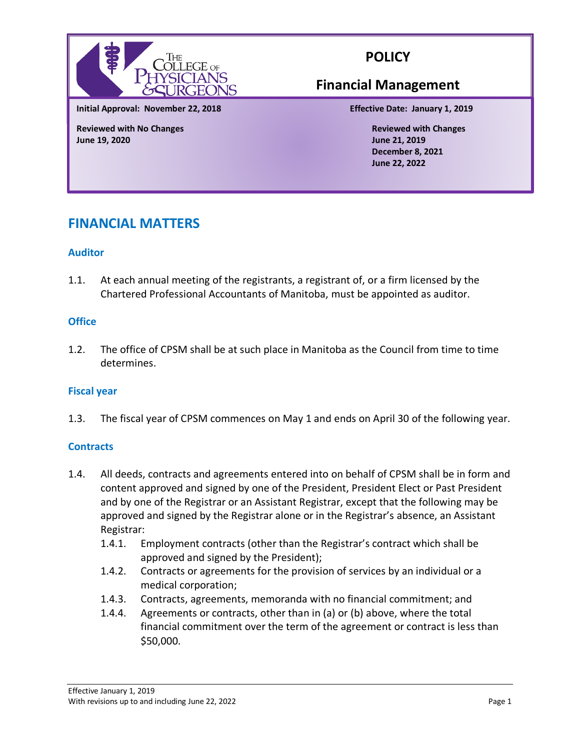

# **POLICY**

# **Financial Management**

**Initial Approval: November 22, 2018 Effective Date: January 1, 2019**

**Reviewed with No Changes Reviewed with Changes June 19, 2020 June 21, 2019**

**December 8, 2021 June 22, 2022**

# **FINANCIAL MATTERS**

# **Auditor**

1.1. At each annual meeting of the registrants, a registrant of, or a firm licensed by the Chartered Professional Accountants of Manitoba, must be appointed as auditor.

# **Office**

1.2. The office of CPSM shall be at such place in Manitoba as the Council from time to time determines.

#### **Fiscal year**

1.3. The fiscal year of CPSM commences on May 1 and ends on April 30 of the following year.

#### **Contracts**

- 1.4. All deeds, contracts and agreements entered into on behalf of CPSM shall be in form and content approved and signed by one of the President, President Elect or Past President and by one of the Registrar or an Assistant Registrar, except that the following may be approved and signed by the Registrar alone or in the Registrar's absence, an Assistant Registrar:
	- 1.4.1. Employment contracts (other than the Registrar's contract which shall be approved and signed by the President);
	- 1.4.2. Contracts or agreements for the provision of services by an individual or a medical corporation;
	- 1.4.3. Contracts, agreements, memoranda with no financial commitment; and
	- 1.4.4. Agreements or contracts, other than in (a) or (b) above, where the total financial commitment over the term of the agreement or contract is less than \$50,000.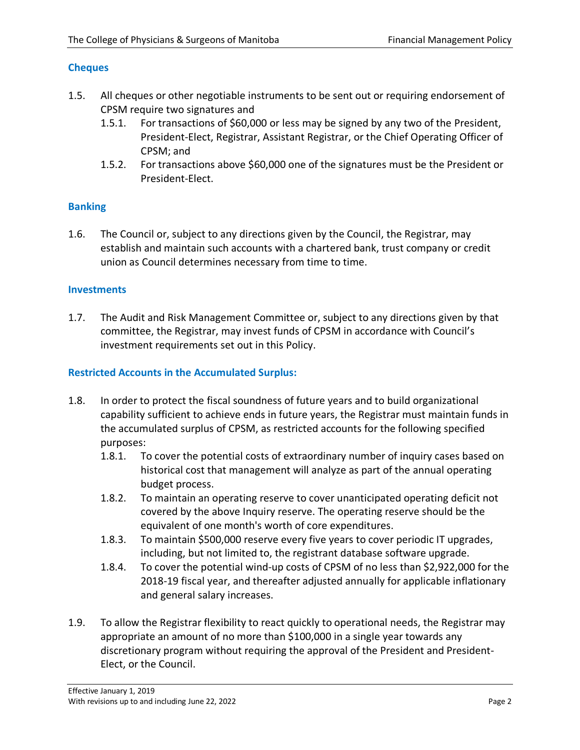# **Cheques**

- 1.5. All cheques or other negotiable instruments to be sent out or requiring endorsement of CPSM require two signatures and
	- 1.5.1. For transactions of \$60,000 or less may be signed by any two of the President, President-Elect, Registrar, Assistant Registrar, or the Chief Operating Officer of CPSM; and
	- 1.5.2. For transactions above \$60,000 one of the signatures must be the President or President-Elect.

### **Banking**

1.6. The Council or, subject to any directions given by the Council, the Registrar, may establish and maintain such accounts with a chartered bank, trust company or credit union as Council determines necessary from time to time.

### **Investments**

1.7. The Audit and Risk Management Committee or, subject to any directions given by that committee, the Registrar, may invest funds of CPSM in accordance with Council's investment requirements set out in this Policy.

### **Restricted Accounts in the Accumulated Surplus:**

- 1.8. In order to protect the fiscal soundness of future years and to build organizational capability sufficient to achieve ends in future years, the Registrar must maintain funds in the accumulated surplus of CPSM, as restricted accounts for the following specified purposes:
	- 1.8.1. To cover the potential costs of extraordinary number of inquiry cases based on historical cost that management will analyze as part of the annual operating budget process.
	- 1.8.2. To maintain an operating reserve to cover unanticipated operating deficit not covered by the above Inquiry reserve. The operating reserve should be the equivalent of one month's worth of core expenditures.
	- 1.8.3. To maintain \$500,000 reserve every five years to cover periodic IT upgrades, including, but not limited to, the registrant database software upgrade.
	- 1.8.4. To cover the potential wind-up costs of CPSM of no less than \$2,922,000 for the 2018-19 fiscal year, and thereafter adjusted annually for applicable inflationary and general salary increases.
- 1.9. To allow the Registrar flexibility to react quickly to operational needs, the Registrar may appropriate an amount of no more than \$100,000 in a single year towards any discretionary program without requiring the approval of the President and President-Elect, or the Council.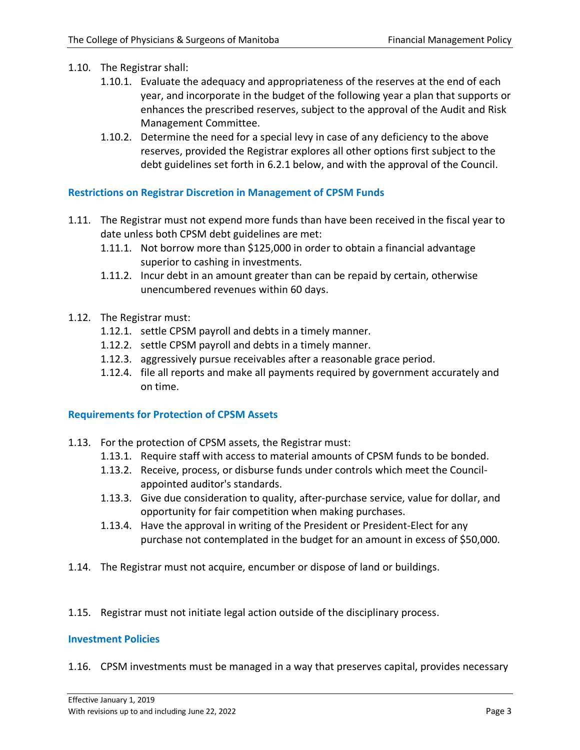- 1.10. The Registrar shall:
	- 1.10.1. Evaluate the adequacy and appropriateness of the reserves at the end of each year, and incorporate in the budget of the following year a plan that supports or enhances the prescribed reserves, subject to the approval of the Audit and Risk Management Committee.
	- 1.10.2. Determine the need for a special levy in case of any deficiency to the above reserves, provided the Registrar explores all other options first subject to the debt guidelines set forth in 6.2.1 below, and with the approval of the Council.

#### **Restrictions on Registrar Discretion in Management of CPSM Funds**

- 1.11. The Registrar must not expend more funds than have been received in the fiscal year to date unless both CPSM debt guidelines are met:
	- 1.11.1. Not borrow more than \$125,000 in order to obtain a financial advantage superior to cashing in investments.
	- 1.11.2. Incur debt in an amount greater than can be repaid by certain, otherwise unencumbered revenues within 60 days.
- 1.12. The Registrar must:
	- 1.12.1. settle CPSM payroll and debts in a timely manner.
	- 1.12.2. settle CPSM payroll and debts in a timely manner.
	- 1.12.3. aggressively pursue receivables after a reasonable grace period.
	- 1.12.4. file all reports and make all payments required by government accurately and on time.

#### **Requirements for Protection of CPSM Assets**

- 1.13. For the protection of CPSM assets, the Registrar must:
	- 1.13.1. Require staff with access to material amounts of CPSM funds to be bonded.
	- 1.13.2. Receive, process, or disburse funds under controls which meet the Councilappointed auditor's standards.
	- 1.13.3. Give due consideration to quality, after-purchase service, value for dollar, and opportunity for fair competition when making purchases.
	- 1.13.4. Have the approval in writing of the President or President-Elect for any purchase not contemplated in the budget for an amount in excess of \$50,000.
- 1.14. The Registrar must not acquire, encumber or dispose of land or buildings.
- 1.15. Registrar must not initiate legal action outside of the disciplinary process.

#### **Investment Policies**

1.16. CPSM investments must be managed in a way that preserves capital, provides necessary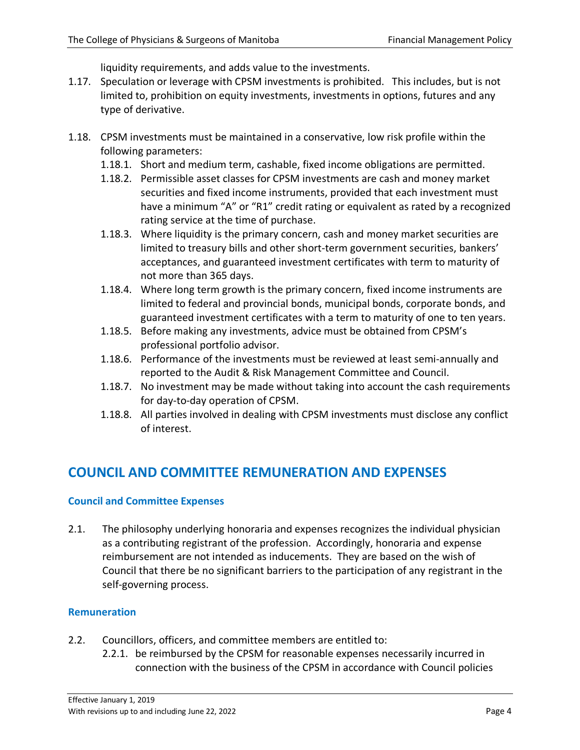liquidity requirements, and adds value to the investments.

- 1.17. Speculation or leverage with CPSM investments is prohibited. This includes, but is not limited to, prohibition on equity investments, investments in options, futures and any type of derivative.
- 1.18. CPSM investments must be maintained in a conservative, low risk profile within the following parameters:
	- 1.18.1. Short and medium term, cashable, fixed income obligations are permitted.
	- 1.18.2. Permissible asset classes for CPSM investments are cash and money market securities and fixed income instruments, provided that each investment must have a minimum "A" or "R1" credit rating or equivalent as rated by a recognized rating service at the time of purchase.
	- 1.18.3. Where liquidity is the primary concern, cash and money market securities are limited to treasury bills and other short-term government securities, bankers' acceptances, and guaranteed investment certificates with term to maturity of not more than 365 days.
	- 1.18.4. Where long term growth is the primary concern, fixed income instruments are limited to federal and provincial bonds, municipal bonds, corporate bonds, and guaranteed investment certificates with a term to maturity of one to ten years.
	- 1.18.5. Before making any investments, advice must be obtained from CPSM's professional portfolio advisor.
	- 1.18.6. Performance of the investments must be reviewed at least semi-annually and reported to the Audit & Risk Management Committee and Council.
	- 1.18.7. No investment may be made without taking into account the cash requirements for day-to-day operation of CPSM.
	- 1.18.8. All parties involved in dealing with CPSM investments must disclose any conflict of interest.

# **COUNCIL AND COMMITTEE REMUNERATION AND EXPENSES**

#### **Council and Committee Expenses**

2.1. The philosophy underlying honoraria and expenses recognizes the individual physician as a contributing registrant of the profession. Accordingly, honoraria and expense reimbursement are not intended as inducements. They are based on the wish of Council that there be no significant barriers to the participation of any registrant in the self-governing process.

# **Remuneration**

- 2.2. Councillors, officers, and committee members are entitled to:
	- 2.2.1. be reimbursed by the CPSM for reasonable expenses necessarily incurred in connection with the business of the CPSM in accordance with Council policies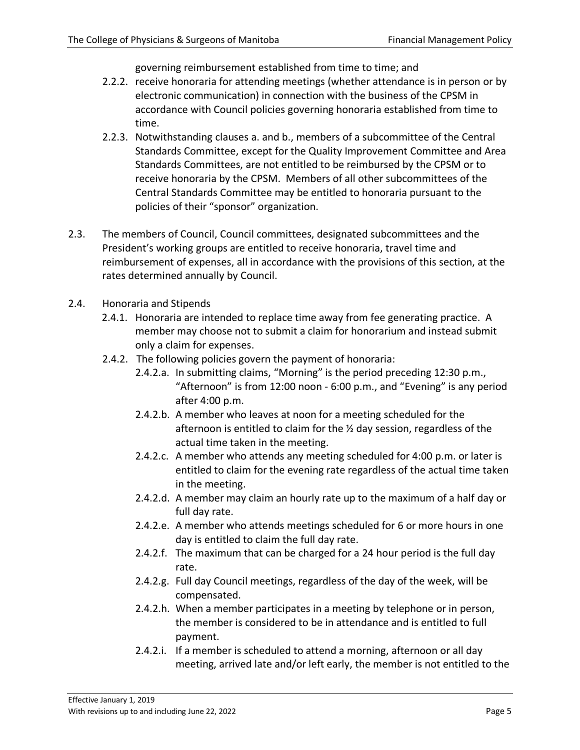governing reimbursement established from time to time; and

- 2.2.2. receive honoraria for attending meetings (whether attendance is in person or by electronic communication) in connection with the business of the CPSM in accordance with Council policies governing honoraria established from time to time.
- 2.2.3. Notwithstanding clauses a. and b., members of a subcommittee of the Central Standards Committee, except for the Quality Improvement Committee and Area Standards Committees, are not entitled to be reimbursed by the CPSM or to receive honoraria by the CPSM. Members of all other subcommittees of the Central Standards Committee may be entitled to honoraria pursuant to the policies of their "sponsor" organization.
- 2.3. The members of Council, Council committees, designated subcommittees and the President's working groups are entitled to receive honoraria, travel time and reimbursement of expenses, all in accordance with the provisions of this section, at the rates determined annually by Council.
- 2.4. Honoraria and Stipends
	- 2.4.1. Honoraria are intended to replace time away from fee generating practice. A member may choose not to submit a claim for honorarium and instead submit only a claim for expenses.
	- 2.4.2. The following policies govern the payment of honoraria:
		- 2.4.2.a. In submitting claims, "Morning" is the period preceding 12:30 p.m., "Afternoon" is from 12:00 noon - 6:00 p.m., and "Evening" is any period after 4:00 p.m.
		- 2.4.2.b. A member who leaves at noon for a meeting scheduled for the afternoon is entitled to claim for the ½ day session, regardless of the actual time taken in the meeting.
		- 2.4.2.c. A member who attends any meeting scheduled for 4:00 p.m. or later is entitled to claim for the evening rate regardless of the actual time taken in the meeting.
		- 2.4.2.d. A member may claim an hourly rate up to the maximum of a half day or full day rate.
		- 2.4.2.e. A member who attends meetings scheduled for 6 or more hours in one day is entitled to claim the full day rate.
		- 2.4.2.f. The maximum that can be charged for a 24 hour period is the full day rate.
		- 2.4.2.g. Full day Council meetings, regardless of the day of the week, will be compensated.
		- 2.4.2.h. When a member participates in a meeting by telephone or in person, the member is considered to be in attendance and is entitled to full payment.
		- 2.4.2.i. If a member is scheduled to attend a morning, afternoon or all day meeting, arrived late and/or left early, the member is not entitled to the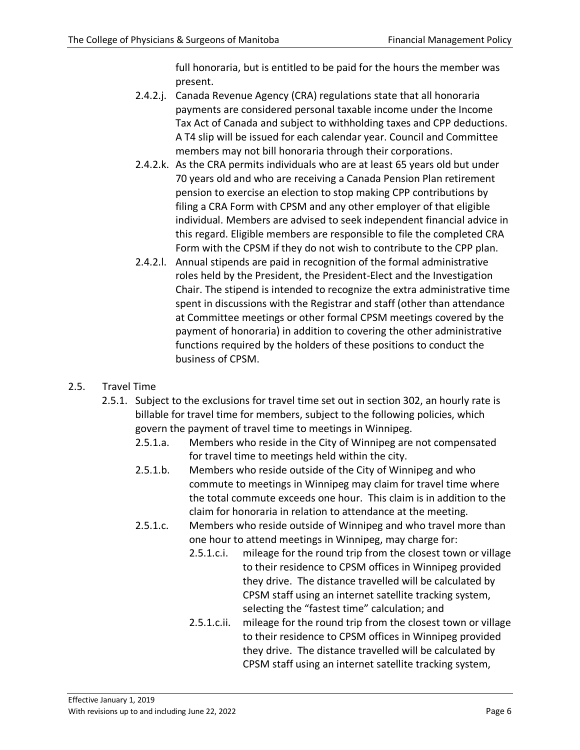full honoraria, but is entitled to be paid for the hours the member was present.

- 2.4.2.j. Canada Revenue Agency (CRA) regulations state that all honoraria payments are considered personal taxable income under the Income Tax Act of Canada and subject to withholding taxes and CPP deductions. A T4 slip will be issued for each calendar year. Council and Committee members may not bill honoraria through their corporations.
- 2.4.2.k. As the CRA permits individuals who are at least 65 years old but under 70 years old and who are receiving a Canada Pension Plan retirement pension to exercise an election to stop making CPP contributions by filing a CRA Form with CPSM and any other employer of that eligible individual. Members are advised to seek independent financial advice in this regard. Eligible members are responsible to file the completed CRA Form with the CPSM if they do not wish to contribute to the CPP plan.
- 2.4.2.l. Annual stipends are paid in recognition of the formal administrative roles held by the President, the President-Elect and the Investigation Chair. The stipend is intended to recognize the extra administrative time spent in discussions with the Registrar and staff (other than attendance at Committee meetings or other formal CPSM meetings covered by the payment of honoraria) in addition to covering the other administrative functions required by the holders of these positions to conduct the business of CPSM.
- 2.5. Travel Time
	- 2.5.1. Subject to the exclusions for travel time set out in section 302, an hourly rate is billable for travel time for members, subject to the following policies, which govern the payment of travel time to meetings in Winnipeg.
		- 2.5.1.a. Members who reside in the City of Winnipeg are not compensated for travel time to meetings held within the city.
		- 2.5.1.b. Members who reside outside of the City of Winnipeg and who commute to meetings in Winnipeg may claim for travel time where the total commute exceeds one hour. This claim is in addition to the claim for honoraria in relation to attendance at the meeting.
		- 2.5.1.c. Members who reside outside of Winnipeg and who travel more than one hour to attend meetings in Winnipeg, may charge for:
			- 2.5.1.c.i. mileage for the round trip from the closest town or village to their residence to CPSM offices in Winnipeg provided they drive. The distance travelled will be calculated by CPSM staff using an internet satellite tracking system, selecting the "fastest time" calculation; and
			- 2.5.1.c.ii. mileage for the round trip from the closest town or village to their residence to CPSM offices in Winnipeg provided they drive. The distance travelled will be calculated by CPSM staff using an internet satellite tracking system,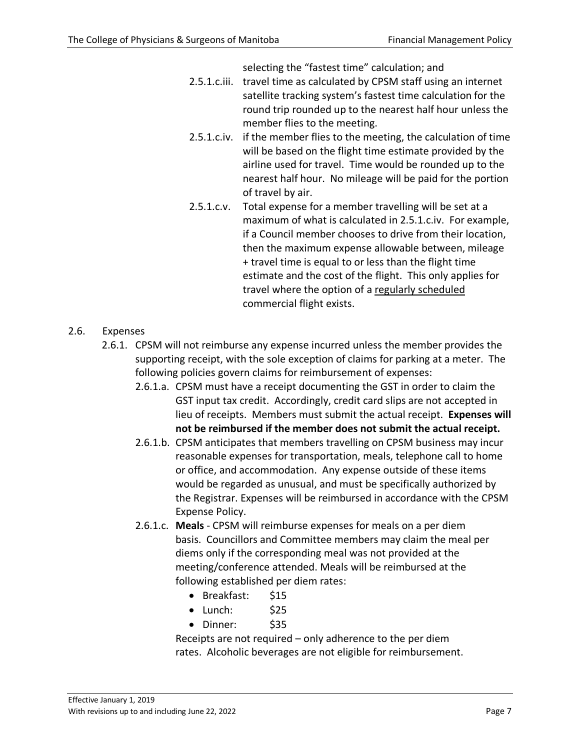selecting the "fastest time" calculation; and

- 2.5.1.c.iii. travel time as calculated by CPSM staff using an internet satellite tracking system's fastest time calculation for the round trip rounded up to the nearest half hour unless the member flies to the meeting.
- 2.5.1.c.iv. if the member flies to the meeting, the calculation of time will be based on the flight time estimate provided by the airline used for travel. Time would be rounded up to the nearest half hour. No mileage will be paid for the portion of travel by air.
- 2.5.1.c.v. Total expense for a member travelling will be set at a maximum of what is calculated in 2.5.1.c.iv. For example, if a Council member chooses to drive from their location, then the maximum expense allowable between, mileage + travel time is equal to or less than the flight time estimate and the cost of the flight. This only applies for travel where the option of a regularly scheduled commercial flight exists.

# 2.6. Expenses

- 2.6.1. CPSM will not reimburse any expense incurred unless the member provides the supporting receipt, with the sole exception of claims for parking at a meter. The following policies govern claims for reimbursement of expenses:
	- 2.6.1.a. CPSM must have a receipt documenting the GST in order to claim the GST input tax credit. Accordingly, credit card slips are not accepted in lieu of receipts. Members must submit the actual receipt. **Expenses will not be reimbursed if the member does not submit the actual receipt.**
	- 2.6.1.b. CPSM anticipates that members travelling on CPSM business may incur reasonable expenses for transportation, meals, telephone call to home or office, and accommodation. Any expense outside of these items would be regarded as unusual, and must be specifically authorized by the Registrar. Expenses will be reimbursed in accordance with the CPSM Expense Policy.
	- 2.6.1.c. **Meals** CPSM will reimburse expenses for meals on a per diem basis. Councillors and Committee members may claim the meal per diems only if the corresponding meal was not provided at the meeting/conference attended. Meals will be reimbursed at the following established per diem rates:
		- Breakfast: \$15
		- Lunch: \$25
		- Dinner: \$35

Receipts are not required – only adherence to the per diem rates. Alcoholic beverages are not eligible for reimbursement.